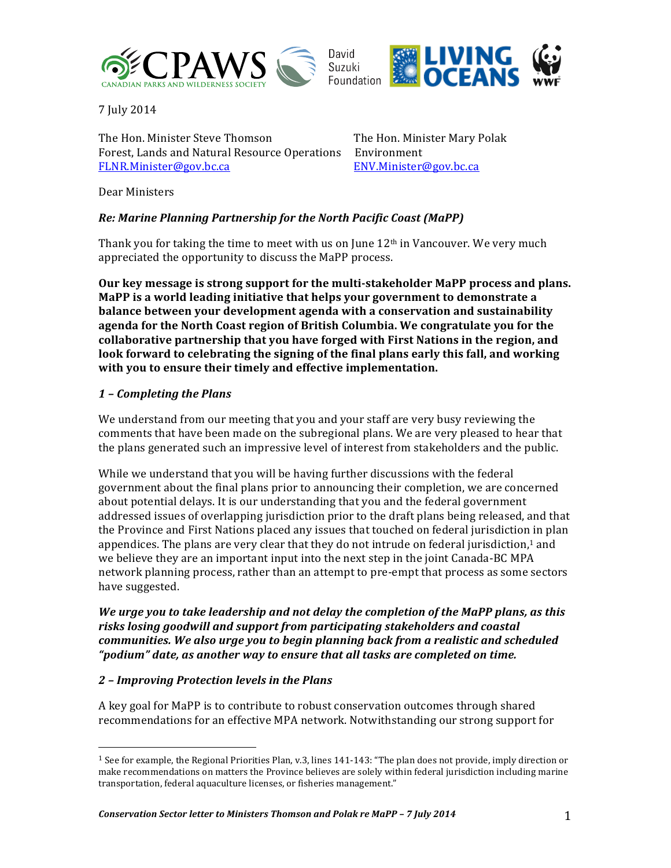



7 July 2014

The Hon. Minister Steve Thomson The Hon. Minister Mary Polak Forest, Lands and Natural Resource Operations Environment FLNR.Minister@gov.bc.ca ENV.Minister@gov.bc.ca

Dear Ministers

# **Re: Marine Planning Partnership for the North Pacific Coast (MaPP)**

Thank you for taking the time to meet with us on June  $12<sup>th</sup>$  in Vancouver. We very much appreciated the opportunity to discuss the MaPP process.

**Our** key message is strong support for the multi-stakeholder MaPP process and plans. **MaPP** is a world leading initiative that helps your government to demonstrate a **balance between your development agenda with a conservation and sustainability** agenda for the North Coast region of British Columbia. We congratulate you for the collaborative partnership that you have forged with First Nations in the region, and look forward to celebrating the signing of the final plans early this fall, and working with you to ensure their timely and effective implementation.

### *1 – Completing the Plans*

We understand from our meeting that you and your staff are very busy reviewing the comments that have been made on the subregional plans. We are very pleased to hear that the plans generated such an impressive level of interest from stakeholders and the public.

While we understand that you will be having further discussions with the federal government about the final plans prior to announcing their completion, we are concerned about potential delays. It is our understanding that you and the federal government addressed issues of overlapping jurisdiction prior to the draft plans being released, and that the Province and First Nations placed any issues that touched on federal jurisdiction in plan appendices. The plans are very clear that they do not intrude on federal jurisdiction,<sup>1</sup> and we believe they are an important input into the next step in the joint Canada-BC MPA network planning process, rather than an attempt to pre-empt that process as some sectors have suggested.

*We urge you to take leadership and not delay the completion of the MaPP plans, as this* risks losing goodwill and support from participating stakeholders and coastal *communities. We also urge you to begin planning back from a realistic and scheduled "podium" date, as another way to ensure that all tasks are completed on time.* 

### *2 – Improving Protection levels in the Plans*

 

A key goal for MaPP is to contribute to robust conservation outcomes through shared recommendations for an effective MPA network. Notwithstanding our strong support for

 $1$  See for example, the Regional Priorities Plan, v.3, lines  $141-143$ : "The plan does not provide, imply direction or make recommendations on matters the Province believes are solely within federal jurisdiction including marine transportation, federal aquaculture licenses, or fisheries management."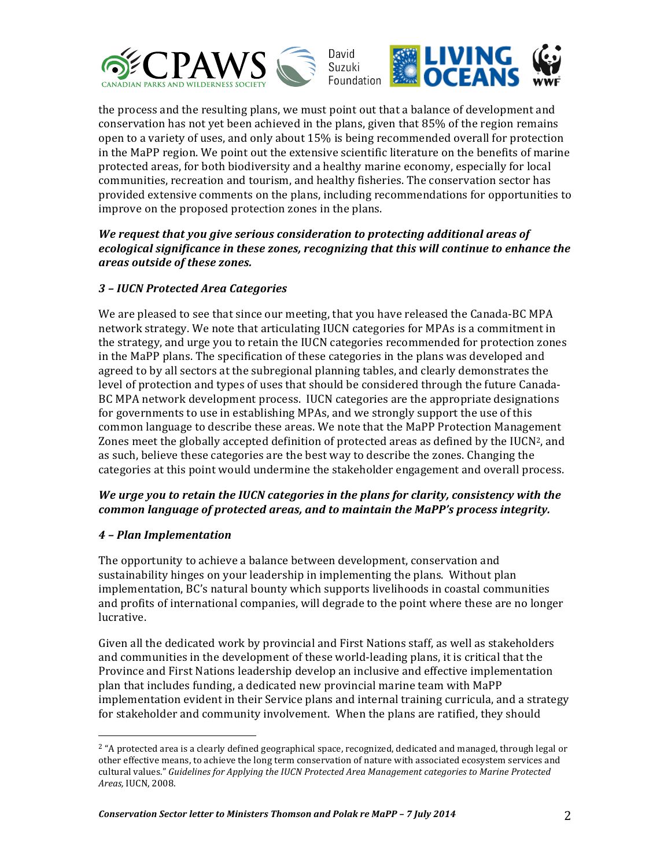



the process and the resulting plans, we must point out that a balance of development and conservation has not yet been achieved in the plans, given that 85% of the region remains open to a variety of uses, and only about  $15\%$  is being recommended overall for protection in the MaPP region. We point out the extensive scientific literature on the benefits of marine protected areas, for both biodiversity and a healthy marine economy, especially for local communities, recreation and tourism, and healthy fisheries. The conservation sector has provided extensive comments on the plans, including recommendations for opportunities to improve on the proposed protection zones in the plans.

We request that you give serious consideration to protecting additional areas of *ecological significance in these zones, recognizing that this will continue to enhance the areas outside of these zones.*

# *3 – IUCN Protected Area Categories*

We are pleased to see that since our meeting, that you have released the Canada-BC MPA network strategy. We note that articulating IUCN categories for MPAs is a commitment in the strategy, and urge you to retain the IUCN categories recommended for protection zones in the MaPP plans. The specification of these categories in the plans was developed and agreed to by all sectors at the subregional planning tables, and clearly demonstrates the level of protection and types of uses that should be considered through the future Canada-BC MPA network development process. IUCN categories are the appropriate designations for governments to use in establishing MPAs, and we strongly support the use of this common language to describe these areas. We note that the MaPP Protection Management Zones meet the globally accepted definition of protected areas as defined by the IUCN<sup>2</sup>, and as such, believe these categories are the best way to describe the zones. Changing the categories at this point would undermine the stakeholder engagement and overall process.

# We urge you to retain the *IUCN* categories in the plans for clarity, consistency with the *common language of protected areas, and to maintain the MaPP's process integrity.*

# *4 – Plan Implementation*

 

The opportunity to achieve a balance between development, conservation and sustainability hinges on your leadership in implementing the plans. Without plan implementation, BC's natural bounty which supports livelihoods in coastal communities and profits of international companies, will degrade to the point where these are no longer lucrative. 

Given all the dedicated work by provincial and First Nations staff, as well as stakeholders and communities in the development of these world-leading plans, it is critical that the Province and First Nations leadership develop an inclusive and effective implementation plan that includes funding, a dedicated new provincial marine team with MaPP implementation evident in their Service plans and internal training curricula, and a strategy for stakeholder and community involvement. When the plans are ratified, they should

<sup>&</sup>lt;sup>2</sup> "A protected area is a clearly defined geographical space, recognized, dedicated and managed, through legal or other effective means, to achieve the long term conservation of nature with associated ecosystem services and cultural values." Guidelines for Applying the IUCN Protected Area Management categories to Marine Protected *Areas,* IUCN, 2008.